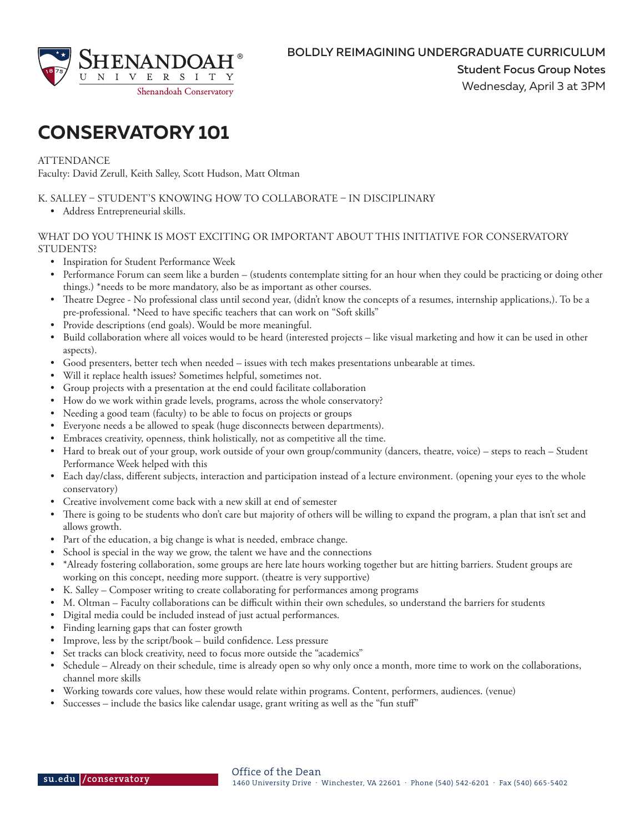

# **CONSERVATORY 101**

**ATTENDANCE** 

Faculty: David Zerull, Keith Salley, Scott Hudson, Matt Oltman

K. SALLEY – STUDENT'S KNOWING HOW TO COLLABORATE – IN DISCIPLINARY

• Address Entrepreneurial skills.

## WHAT DO YOU THINK IS MOST EXCITING OR IMPORTANT ABOUT THIS INITIATIVE FOR CONSERVATORY STUDENTS?

- Inspiration for Student Performance Week
- Performance Forum can seem like a burden (students contemplate sitting for an hour when they could be practicing or doing other things.) \*needs to be more mandatory, also be as important as other courses.
- Theatre Degree No professional class until second year, (didn't know the concepts of a resumes, internship applications,). To be a pre-professional. \*Need to have specific teachers that can work on "Soft skills"
- Provide descriptions (end goals). Would be more meaningful.
- Build collaboration where all voices would to be heard (interested projects like visual marketing and how it can be used in other aspects).
- Good presenters, better tech when needed issues with tech makes presentations unbearable at times.
- Will it replace health issues? Sometimes helpful, sometimes not.
- Group projects with a presentation at the end could facilitate collaboration
- How do we work within grade levels, programs, across the whole conservatory?
- Needing a good team (faculty) to be able to focus on projects or groups
- Everyone needs a be allowed to speak (huge disconnects between departments).
- Embraces creativity, openness, think holistically, not as competitive all the time.
- Hard to break out of your group, work outside of your own group/community (dancers, theatre, voice) steps to reach Student Performance Week helped with this
- Each day/class, different subjects, interaction and participation instead of a lecture environment. (opening your eyes to the whole conservatory)
- Creative involvement come back with a new skill at end of semester
- There is going to be students who don't care but majority of others will be willing to expand the program, a plan that isn't set and allows growth.
- Part of the education, a big change is what is needed, embrace change.
- School is special in the way we grow, the talent we have and the connections
- \*Already fostering collaboration, some groups are here late hours working together but are hitting barriers. Student groups are working on this concept, needing more support. (theatre is very supportive)
- K. Salley Composer writing to create collaborating for performances among programs
- M. Oltman Faculty collaborations can be difficult within their own schedules, so understand the barriers for students
- Digital media could be included instead of just actual performances.
- Finding learning gaps that can foster growth
- Improve, less by the script/book build confidence. Less pressure
- Set tracks can block creativity, need to focus more outside the "academics"
- Schedule Already on their schedule, time is already open so why only once a month, more time to work on the collaborations, channel more skills
- Working towards core values, how these would relate within programs. Content, performers, audiences. (venue)
- Successes include the basics like calendar usage, grant writing as well as the "fun stuff"